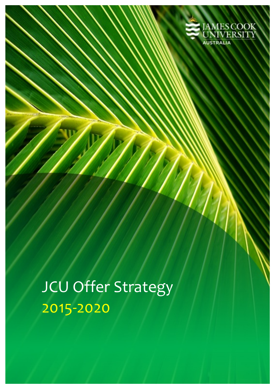

JCU Offer Strategy 2015-2020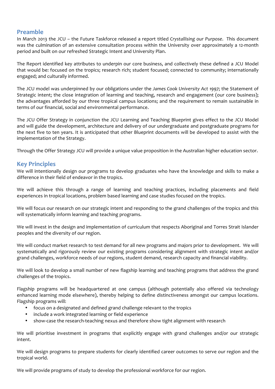# **Preamble**

In March 2013 the JCU – the Future Taskforce released a report titled Crystallising our Purpose. This document was the culmination of an extensive consultation process within the University over approximately a 12-month period and built on our refreshed Strategic Intent and University Plan.

The Report identified key attributes to underpin our core business, and collectively these defined a JCU Model that would be: focused on the tropics; research rich; student focused; connected to community; internationally engaged; and culturally informed.

The JCU model was underpinned by our obligations under the James Cook University Act 1997; the Statement of Strategic intent; the close integration of learning and teaching, research and engagement (our core business); the advantages afforded by our three tropical campus locations; and the requirement to remain sustainable in terms of our financial, social and environmental performance.

The JCU Offer Strategy in conjunction the JCU Learning and Teaching Blueprint gives effect to the JCU Model and will guide the development, architecture and delivery of our undergraduate and postgraduate programs for the next five to ten years. It is anticipated that other Blueprint documents will be developed to assist with the implementation of the Strategy.

Through the Offer Strategy JCU will provide a unique value proposition in the Australian higher education sector.

# **Key Principles**

We will intentionally design our programs to develop graduates who have the knowledge and skills to make a difference in their field of endeavor in the tropics.

We will achieve this through a range of learning and teaching practices, including placements and field experiences in tropical locations, problem based learning and case studies focused on the tropics.

We will focus our research on our strategic intent and responding to the grand challenges of the tropics and this will systematically inform learning and teaching programs.

We will invest in the design and implementation of curriculum that respects Aboriginal and Torres Strait Islander peoples and the diversity of our region.

We will conduct market research to test demand for all new programs and majors prior to development. We will systematically and rigorously review our existing programs considering alignment with strategic intent and/or grand challenges, workforce needs of our regions, student demand, research capacity and financial viability.

We will look to develop a small number of new flagship learning and teaching programs that address the grand challenges of the tropics.

Flagship programs will be headquartered at one campus (although potentially also offered via technology enhanced learning mode elsewhere), thereby helping to define distinctiveness amongst our campus locations. Flagship programs will:

- focus on a designated and defined grand challenge relevant to the tropics
- include a work integrated learning or field experience
- show-case the research-teaching nexus and therefore show tight alignment with research

We will prioritise investment in programs that explicitly engage with grand challenges and/or our strategic intent.

We will design programs to prepare students for clearly identified career outcomes to serve our region and the tropical world.

We will provide programs of study to develop the professional workforce for our region.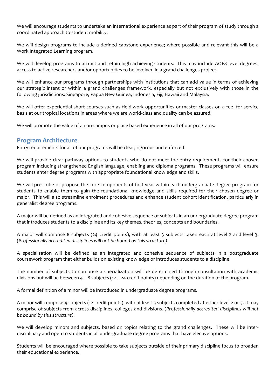We will encourage students to undertake an international experience as part of their program of study through a coordinated approach to student mobility.

We will design programs to include a defined capstone experience; where possible and relevant this will be a Work Integrated Learning program.

We will develop programs to attract and retain high achieving students. This may include AQF8 level degrees, access to active researchers and/or opportunities to be involved in a grand challenges project.

We will enhance our programs through partnerships with institutions that can add value in terms of achieving our strategic intent or within a grand challenges framework, especially but not exclusively with those in the following jurisdictions: Singapore, Papua New Guinea, Indonesia, Fiji, Hawaii and Malaysia.

We will offer experiential short courses such as field-work opportunities or master classes on a fee -for-service basis at our tropical locations in areas where we are world-class and quality can be assured.

We will promote the value of an on-campus or place based experience in all of our programs.

### **Program Architecture**

Entry requirements for all of our programs will be clear, rigorous and enforced.

We will provide clear pathway options to students who do not meet the entry requirements for their chosen program including strengthened English language, enabling and diploma programs. These programs will ensure students enter degree programs with appropriate foundational knowledge and skills.

We will prescribe or propose the core components of first year within each undergraduate degree program for students to enable them to gain the foundational knowledge and skills required for their chosen degree or major. This will also streamline enrolment procedures and enhance student cohort identification, particularly in generalist degree programs.

A major will be defined as an integrated and cohesive sequence of subjects in an undergraduate degree program that introduces students to a discipline and its key themes, theories, concepts and boundaries.

A major will comprise 8 subjects (24 credit points), with at least 3 subjects taken each at level 2 and level 3. (*Professionally accredited disciplines will not be bound by this structure).*

A specialisation will be defined as an integrated and cohesive sequence of subjects in a postgraduate coursework program that either builds on existing knowledge or introduces students to a discipline.

The number of subjects to comprise a specialization will be determined through consultation with academic divisions but will be between  $4 - 8$  subjects (12 – 24 credit points) depending on the duration of the program.

A formal definition of a minor will be introduced in undergraduate degree programs.

A minor will comprise 4 subjects (12 credit points), with at least 3 subjects completed at either level 2 or 3. It may comprise of subjects from across disciplines, colleges and divisions. (*Professionally accredited disciplines will not* be bound by this structure).

We will develop minors and subjects, based on topics relating to the grand challenges. These will be interdisciplinary and open to students in all undergraduate degree programs that have elective options.

Students will be encouraged where possible to take subjects outside of their primary discipline focus to broaden their educational experience.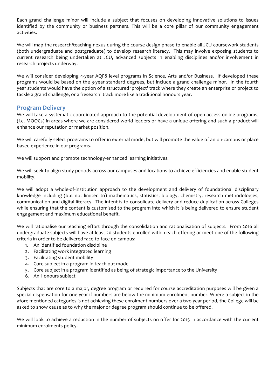Each grand challenge minor will include a subject that focuses on developing innovative solutions to issues identified by the community or business partners. This will be a core pillar of our community engagement activities.

We will map the research/teaching nexus during the course design phase to enable all JCU coursework students (both undergraduate and postgraduate) to develop research literacy. This may involve exposing students to current research being undertaken at JCU, advanced subjects in enabling disciplines and/or involvement in research projects underway.

We will consider developing 4-year AQF8 level programs in Science, Arts and/or Business. If developed these programs would be based on the 3-year standard degrees, but include a grand challenge minor. In the fourth year students would have the option of a structured 'project' track where they create an enterprise or project to tackle a grand challenge, or a 'research' track more like a traditional honours year.

### **Program Delivery**

We will take a systematic coordinated approach to the potential development of open access online programs, (i.e. MOOCs) in areas where we are considered world leaders or have a unique offering and such a product will enhance our reputation or market position.

We will carefully select programs to offer in external mode, but will promote the value of an on-campus or place based experience in our programs.

We will support and promote technology-enhanced learning initiatives.

We will seek to align study periods across our campuses and locations to achieve efficiencies and enable student mobility. 

We will adopt a whole-of-institution approach to the development and delivery of foundational disciplinary knowledge including (but not limited to) mathematics, statistics, biology, chemistry, research methodologies, communication and digital literacy. The intent is to consolidate delivery and reduce duplication across Colleges while ensuring that the content is customised to the program into which it is being delivered to ensure student engagement and maximum educational benefit.

We will rationalise our teaching effort through the consolidation and rationalisation of subjects. From 2016 all undergraduate subjects will have at least 20 students enrolled within each offering or meet one of the following criteria in order to be delivered face-to-face on campus:

- 1. An identified foundation discipline
- 2. Facilitating work integrated learning
- 3. Facilitating student mobility
- 4. Core subject in a program in teach out mode
- 5. Core subject in a program identified as being of strategic importance to the University
- 6. An Honours subject

Subjects that are core to a major, degree program or required for course accreditation purposes will be given a special dispensation for one year if numbers are below the minimum enrolment number. Where a subject in the afore mentioned categories is not achieving these enrolment numbers over a two year period, the College will be asked to show cause as to why the major or degree program should continue to be offered.

We will look to achieve a reduction in the number of subjects on offer for 2015 in accordance with the current minimum enrolments policy.